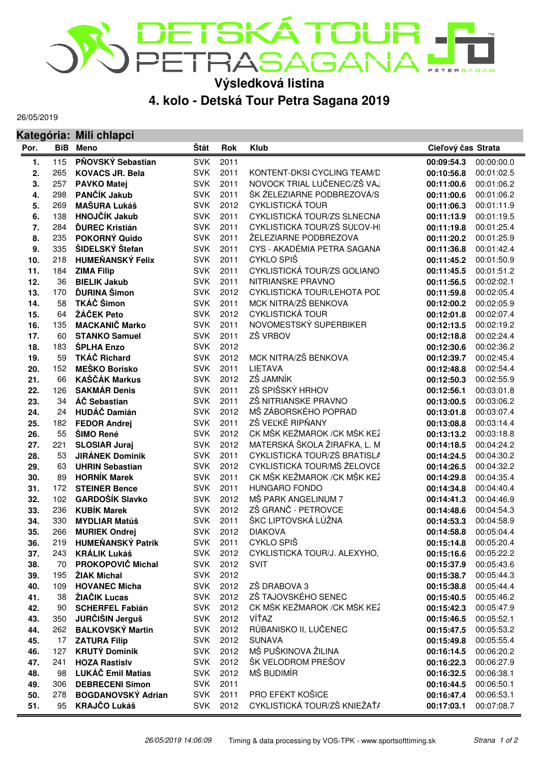

**Výsledková listina**

## **4. kolo - Detská Tour Petra Sagana 2019**

26/05/2019

|            |            | Kategória: Mili chlapci                   |                          |              |                              |                          |                          |
|------------|------------|-------------------------------------------|--------------------------|--------------|------------------------------|--------------------------|--------------------------|
| Por.       | <b>BiB</b> | <b>Meno</b>                               | Štát                     | <b>Rok</b>   | <b>Klub</b>                  | Cieľový čas Strata       |                          |
| 1.         | 115        | PŇOVSKÝ Sebastian                         | <b>SVK</b>               | 2011         |                              | 00:09:54.3               | 00:00:00.0               |
| 2.         | 265        | <b>KOVACS JR. Bela</b>                    | <b>SVK</b>               | 2011         | KONTENT-DKSI CYCLING TEAM/D  | 00:10:56.8               | 00:01:02.5               |
| 3.         | 257        | <b>PAVKO Matej</b>                        | <b>SVK</b>               | 2011         | NOVOCK TRIAL LUČENEC/ZŠ VAJ  | 00:11:00.6               | 00:01:06.2               |
| 4.         | 298        | PANČÍK Jakub                              | <b>SVK</b>               | 2011         | ŠK ŽELEZIARNE PODBREZOVÁ/S   | 00:11:00.6               | 00:01:06.2               |
| 5.         | 269        | <b>MAŠURA Lukáš</b>                       | <b>SVK</b>               | 2012         | <b>CYKLISTICKÁ TOUR</b>      | 00:11:06.3               | 00:01:11.9               |
| 6.         | 138        | <b>HNOJČÍK Jakub</b>                      | <b>SVK</b>               | 2011         | CYKLISTICKÁ TOUR/ZS SLNECNA  | 00:11:13.9               | 00:01:19.5               |
| 7.         | 284        | <b>ĎUREC Kristián</b>                     | <b>SVK</b>               | 2011         | CYKLISTICKÁ TOUR/ZŠ SÚĽOV-HI | 00:11:19.8               | 00:01:25.4               |
| 8.         | 235        | POKORNÝ Quido                             | <b>SVK</b>               | 2011         | ŽELEZIARNE PODBREZOVA        | 00:11:20.2               | 00:01:25.9               |
| 9.         | 335        | ŠIDELSKÝ Štefan                           | <b>SVK</b>               | 2011         | CYS - AKADÉMIA PETRA SAGANA  | 00:11:36.8               | 00:01:42.4               |
| 10.        | 218        | <b>HUMEŇANSKÝ Felix</b>                   | <b>SVK</b>               | 2011         | CYKLO SPIŠ                   | 00:11:45.2               | 00:01:50.9               |
| 11.        | 184        | <b>ZIMA Filip</b>                         | <b>SVK</b>               | 2011         | CYKLISTICKÁ TOUR/ZS GOLIANO  | 00:11:45.5               | 00:01:51.2               |
| 12.        | 36         | <b>BIELIK Jakub</b>                       | <b>SVK</b>               | 2011         | NITRIANSKE PRAVNO            | 00:11:56.5               | 00:02:02.1               |
| 13.        | 170        | ĎURINA Šimon                              | <b>SVK</b>               | 2012         | CYKLISTICKÁ TOUR/LEHOTA POL  | 00:11:59.8               | 00:02:05.4               |
| 14.        | 58         | TKÁČ Šimon                                | <b>SVK</b>               | 2011         | MCK NITRA/ZŠ BENKOVA         | 00:12:00.2               | 00:02:05.9               |
| 15.        | 64         | ŽÁČEK Peto                                | <b>SVK</b>               | 2012         | <b>CYKLISTICKÁ TOUR</b>      | 00:12:01.8               | 00:02:07.4               |
| 16.        | 135        | <b>MACKANIČ Marko</b>                     | <b>SVK</b>               | 2011         | NOVOMESTSKÝ SUPERBIKER       | 00:12:13.5               | 00:02:19.2               |
| 17.        | 60         | <b>STANKO Samuel</b>                      | <b>SVK</b>               | 2011         | ZŠ VRBOV                     | 00:12:18.8               | 00:02:24.4               |
| 18.        | 183        | ŠPLHA Enzo                                | <b>SVK</b>               | 2012         |                              | 00:12:30.6               | 00:02:36.2               |
| 19.        | 59         | <b>TKÁČ Richard</b>                       | <b>SVK</b>               | 2012         | MCK NITRA/ZŠ BENKOVA         | 00:12:39.7               | 00:02:45.4               |
| 20.        | 152        | <b>MEŠKO Borisko</b>                      | <b>SVK</b>               | 2011         | LIETAVA                      | 00:12:48.8               | 00:02:54.4               |
| 21.        | 66         | <b>KAŠČÁK Markus</b>                      | <b>SVK</b>               | 2012         | ZŠ JAMNÍK                    | 00:12:50.3               | 00:02:55.9               |
| 22.        | 126        | <b>SAKMÁR Denis</b>                       | <b>SVK</b>               | 2011         | ZŠ SPIŠSKÝ HRHOV             | 00:12:56.1               | 00:03:01.8               |
| 23.        | 34         | ÁČ Sebastian                              | <b>SVK</b>               | 2011         | ZŠ NITRIANSKE PRAVNO         | 00:13:00.5               | 00:03:06.2               |
| 24.        | 24         | <b>HUDÁČ Damián</b>                       | <b>SVK</b>               | 2012         | MŠ ZÁBORSKÉHO POPRAD         | 00:13:01.8               | 00:03:07.4               |
| 25.        | 182        | <b>FEDOR Andrej</b>                       | <b>SVK</b>               | 2011         | ZŠ VEĽKÉ RIPŇANY             | 00:13:08.8               | 00:03:14.4               |
| 26.        | 55         | ŠIMO René                                 | <b>SVK</b>               | 2012         | CK MŠK KEŽMAROK / CK MŠK KEŽ | 00:13:13.2               | 00:03:18.8               |
| 27.        | 221        | <b>SLOSIAR Juraj</b>                      | <b>SVK</b>               | 2012         | MATERSKÁ ŠKOLA ŽIRAFKA, L. M | 00:14:18.5               | 00:04:24.2               |
| 28.        | 53         | <b>JIRÁNEK Dominik</b>                    | <b>SVK</b>               | 2011         | CYKLISTICKÁ TOUR/ZŠ BRATISLA | 00:14:24.5               | 00:04:30.2               |
| 29.        | 63         | <b>UHRIN Sebastian</b>                    | <b>SVK</b>               | 2012         | CYKLISTICKÁ TOUR/MŠ ŽELOVCE  | 00:14:26.5               | 00:04:32.2               |
| 30.        | 89         | <b>HORNÍK Marek</b>                       | <b>SVK</b>               | 2011         | CK MŠK KEŽMAROK / CK MŠK KEŽ | 00:14:29.8               | 00:04:35.4               |
| 31.        | 172        | <b>STEINER Bence</b>                      | <b>SVK</b>               | 2011         | <b>HUNGARO FONDO</b>         | 00:14:34.8               | 00:04:40.4               |
| 32.        | 102        | <b>GARDOŠÍK Slavko</b>                    | <b>SVK</b>               | 2012         | MŠ PARK ANGELINUM 7          | 00:14:41.3               | 00:04:46.9               |
| 33.        | 236        | <b>KUBÍK Marek</b>                        | <b>SVK</b>               | 2012         | ZŠ GRANČ - PETROVCE          | 00:14:48.6               | 00:04:54.3               |
| 34.        | 330        | <b>MYDLIAR Matúš</b>                      | <b>SVK</b>               | 2011         | ŠKC LIPTOVSKÁ LÚŽNA          | 00:14:53.3               | 00:04:58.9               |
| 35.        | 266        | <b>MURIEK Ondrej</b>                      | <b>SVK</b>               | 2012         | <b>DIAKOVA</b>               | 00:14:58.8               | 00:05:04.4               |
| 36.        | 219        | <b>HUMEŇANSKÝ Patrik</b>                  | <b>SVK</b>               | 2011         | CYKLO SPIŠ                   | 00:15:14.8               | 00:05:20.4               |
| 37.        | 243        | <b>KRÁLIK Lukáš</b>                       | <b>SVK</b>               | 2012         | CYKLISTICKÁ TOUR/J. ALEXYHO, | 00:15:16.6               | 00:05:22.2               |
| 38.        | 70<br>195  | PROKOPOVIČ Michal<br>ŽIAK Michal          | <b>SVK</b><br><b>SVK</b> | 2012<br>2012 | <b>SVIT</b>                  | 00:15:37.9               | 00:05:43.6               |
| 39.        |            | <b>HOVANEC Micha</b>                      | <b>SVK</b>               | 2012         | ZŠ DRABOVA 3                 | 00:15:38.7               | 00:05:44.3               |
| 40.        | 109<br>38  | ŽIAČIK Lucas                              | <b>SVK</b>               | 2012         | ZŠ TAJOVSKÉHO SENEC          | 00:15:38.8<br>00:15:40.5 | 00:05:44.4<br>00:05:46.2 |
| 41.        |            |                                           | <b>SVK</b>               | 2012         | CK MŠK KEŽMAROK / CK MŠK KEŽ |                          |                          |
| 42.        | 90<br>350  | <b>SCHERFEL Fabián</b><br>JURČIŠIN Jerguš | <b>SVK</b>               | 2012         | VÍŤAZ                        | 00:15:42.3               | 00:05:47.9<br>00:05:52.1 |
| 43.        | 262        | <b>BALKOVSKÝ Martin</b>                   | <b>SVK</b>               | 2012         | RÚBANISKO II, LUČENEC        | 00:15:46.5               | 00:05:53.2               |
| 44.<br>45. | 17         | <b>ZATURA Filip</b>                       | <b>SVK</b>               | 2012         | <b>SUNAVA</b>                | 00:15:47.5<br>00:15:49.8 | 00:05:55.4               |
| 46.        | 127        | <b>KRUTÝ Dominik</b>                      | <b>SVK</b>               | 2012         | MŠ PUŠKINOVA ŽILINA          | 00:16:14.5               | 00:06:20.2               |
| 47.        | 241        | <b>HOZA Rastislv</b>                      | <b>SVK</b>               | 2012         | ŠK VELODROM PREŠOV           | 00:16:22.3               | 00:06:27.9               |
| 48.        | 98         | LUKÁČ Emil Matias                         | <b>SVK</b>               | 2012         | MŠ BUDIMÍR                   | 00:16:32.5               | 00:06:38.1               |
| 49.        | 306        | <b>DEBRECENI Simon</b>                    | <b>SVK</b>               | 2011         |                              | 00:16:44.5               | 00:06:50.1               |
| 50.        | 278        | <b>BOGDANOVSKÝ Adrian</b>                 | <b>SVK</b>               | 2011         | PRO EFEKT KOŠICE             | 00:16:47.4               | 00:06:53.1               |
| 51.        | 95         | <b>KRAJČO Lukáš</b>                       | <b>SVK</b>               | 2012         | CYKLISTICKÁ TOUR/ZŠ KNIEŽAŤ/ | 00:17:03.1               | 00:07:08.7               |
|            |            |                                           |                          |              |                              |                          |                          |